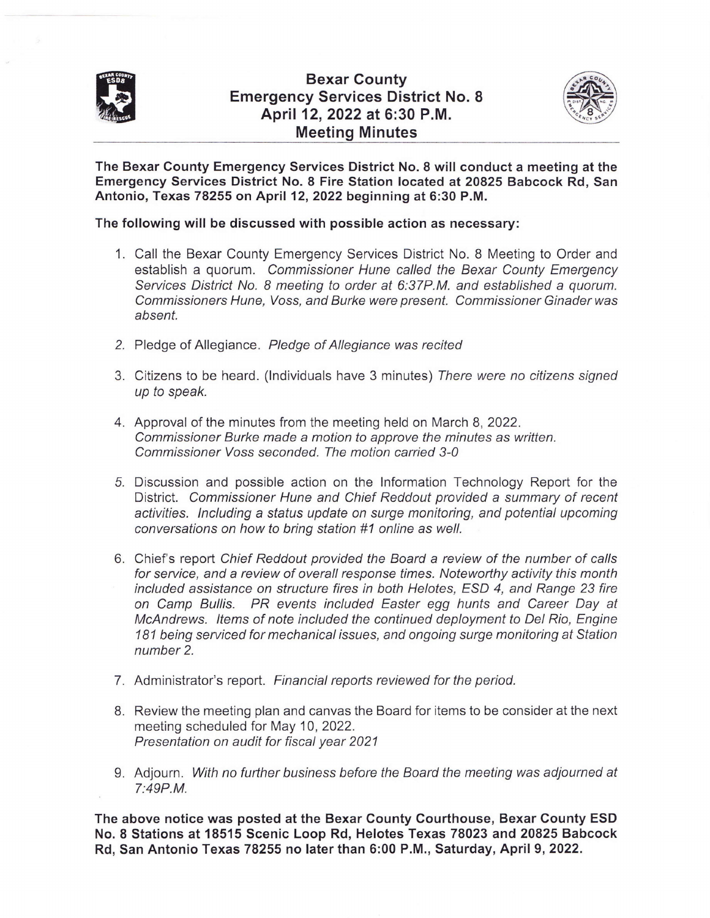

## Bexar County Emergency Services District No. 8 April 12,2022 at 6:30 P.M. Meeting Minutes



The Bexar County Emergency Services District No. 8 will conduct a meeting at the Emergency Services District No. 8 Fire Station located at 20825 Babcock Rd, San Antonio, Texas 78255 on April 12,2022 beginning at 6:30 P.M.

## The following will be discussed with possible action as necessary:

- 1. Call the Bexar County Emergency Services District No. 8 Meeting to Order and establish a quorum. Commissioner Hune called the Bexar County Emergency Services District No. 8 meeting to order at 6:37P.M. and established a quorum. Commissioners Hune. Voss, and Burke were present. Commissioner Ginaderwas absent.
- 2. Pledge of Allegiance. Pledge of Allegiance was recited
- 3. Citizens to be heard. (lndividuals have 3 minutes) There were no citizens signed up to speak.
- 4. Approval of the minutes from the meeting held on March 8,2022. Commissioner Burke made a motion to approve the minutes as written. Commissioner Voss seconded. The motion carried 3-0
- 5. Discussion and possible action on the Information Technology Report for the District. Commissioner Hune and Chief Reddout provided a summary of recent activities. lncluding a sfafus update on surge monitoring, and potential upcoming conversations on how to bring station #1 online as well.
- 6. Chief's report Chief Reddout provided the Board a review of the number of calls for service, and a review of overall response times. Noteworthy activity this month included assisfance on structure fires in both Helotes, ESD 4, and Range 23 fire on Camp Bullis. PR events included Easter egg hunts and Career Day at McAndrews. ltems of note included the continued deployment to Del Rio, Engine 181 being serviced for mechanical issues, and ongoing surge monitoring at Station number 2.
- 7. Administrator's report. Financial reports reviewed for the period.
- 8. Review the meeting plan and canvas the Board for items to be consider at the next meeting scheduled for May 10, 2022. Presentation on audit for fiscal year 2021
- 9. Adjourn. With no further business before the Board the meeting was adjourned at 7:49P.M.

The above notice was posted at the Bexar County Courthouse, Bexar Gounty ESD No. 8 Stations at 18515 Scenic Loop Rd, Helotes Texas 78023 and 20825 Babcock Rd, San Antonio Texas 78255 no later than 6:00 P.M., Saturday, April 9,2022.